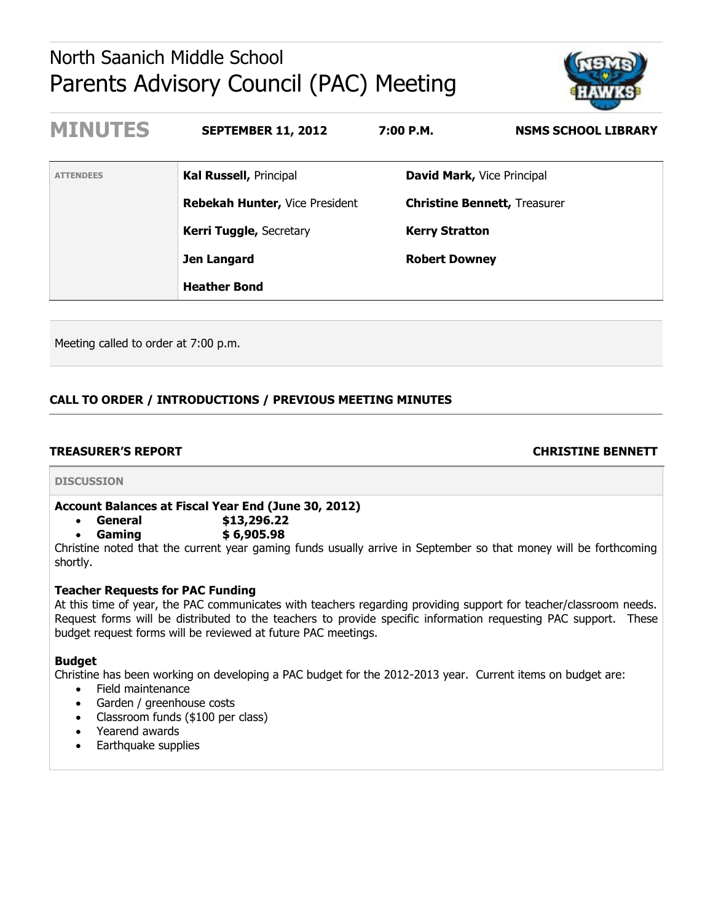# North Saanich Middle School Parents Advisory Council (PAC) Meeting



| <b>MINUTES</b>   | <b>SEPTEMBER 11, 2012</b>             | 7:00 P.M.                         | <b>NSMS SCHOOL LIBRARY</b>          |
|------------------|---------------------------------------|-----------------------------------|-------------------------------------|
| <b>ATTENDEES</b> | Kal Russell, Principal                | <b>David Mark, Vice Principal</b> |                                     |
|                  | <b>Rebekah Hunter, Vice President</b> |                                   | <b>Christine Bennett, Treasurer</b> |
|                  | <b>Kerri Tuggle, Secretary</b>        | <b>Kerry Stratton</b>             |                                     |
|                  | Jen Langard                           | <b>Robert Downey</b>              |                                     |
|                  | <b>Heather Bond</b>                   |                                   |                                     |

Meeting called to order at 7:00 p.m.

# **CALL TO ORDER / INTRODUCTIONS / PREVIOUS MEETING MINUTES**

# **TREASURER'S REPORT CHRISTINE BENNETT**

#### **DISCUSSION**

# **Account Balances at Fiscal Year End (June 30, 2012)**

**General \$13,296.22**

**Gaming \$ 6,905.98**

Christine noted that the current year gaming funds usually arrive in September so that money will be forthcoming shortly.

#### **Teacher Requests for PAC Funding**

At this time of year, the PAC communicates with teachers regarding providing support for teacher/classroom needs. Request forms will be distributed to the teachers to provide specific information requesting PAC support. These budget request forms will be reviewed at future PAC meetings.

#### **Budget**

Christine has been working on developing a PAC budget for the 2012-2013 year. Current items on budget are:

- Field maintenance
- Garden / greenhouse costs
- Classroom funds (\$100 per class)
- Yearend awards
- Earthquake supplies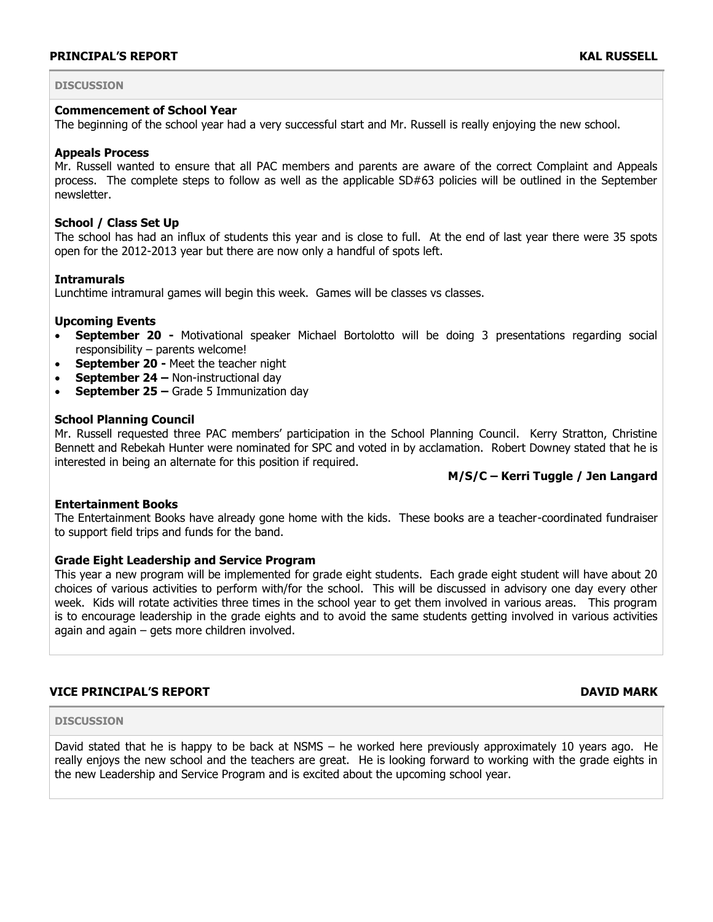## **DISCUSSION**

#### **Commencement of School Year**

The beginning of the school year had a very successful start and Mr. Russell is really enjoying the new school.

#### **Appeals Process**

Mr. Russell wanted to ensure that all PAC members and parents are aware of the correct Complaint and Appeals process. The complete steps to follow as well as the applicable SD#63 policies will be outlined in the September newsletter.

#### **School / Class Set Up**

The school has had an influx of students this year and is close to full. At the end of last year there were 35 spots open for the 2012-2013 year but there are now only a handful of spots left.

#### **Intramurals**

Lunchtime intramural games will begin this week. Games will be classes vs classes.

#### **Upcoming Events**

- **September 20 -** Motivational speaker Michael Bortolotto will be doing 3 presentations regarding social responsibility – parents welcome!
- **September 20 -** Meet the teacher night
- **September 24 Non-instructional day**
- **September 25 –** Grade 5 Immunization day

#### **School Planning Council**

Mr. Russell requested three PAC members' participation in the School Planning Council. Kerry Stratton, Christine Bennett and Rebekah Hunter were nominated for SPC and voted in by acclamation. Robert Downey stated that he is interested in being an alternate for this position if required.

### **M/S/C – Kerri Tuggle / Jen Langard**

#### **Entertainment Books**

The Entertainment Books have already gone home with the kids. These books are a teacher-coordinated fundraiser to support field trips and funds for the band.

#### **Grade Eight Leadership and Service Program**

This year a new program will be implemented for grade eight students. Each grade eight student will have about 20 choices of various activities to perform with/for the school. This will be discussed in advisory one day every other week. Kids will rotate activities three times in the school year to get them involved in various areas. This program is to encourage leadership in the grade eights and to avoid the same students getting involved in various activities again and again – gets more children involved.

### **VICE PRINCIPAL'S REPORT DAVID MARK**

#### **DISCUSSION**

David stated that he is happy to be back at NSMS – he worked here previously approximately 10 years ago. He really enjoys the new school and the teachers are great. He is looking forward to working with the grade eights in the new Leadership and Service Program and is excited about the upcoming school year.